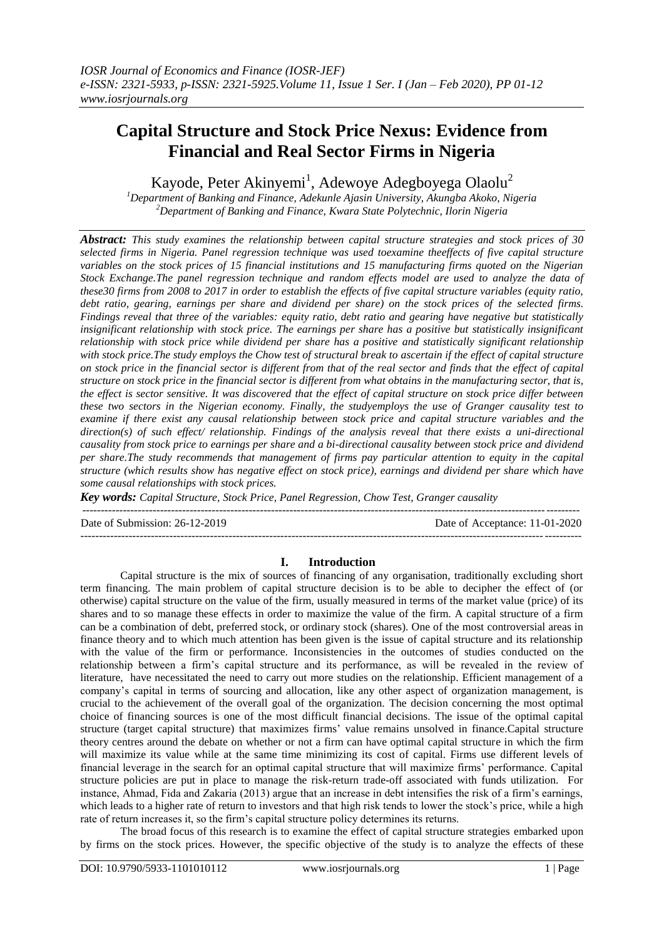# **Capital Structure and Stock Price Nexus: Evidence from Financial and Real Sector Firms in Nigeria**

Kayode, Peter Akinyemi<sup>1</sup>, Adewoye Adegboyega Olaolu<sup>2</sup>

*<sup>1</sup>Department of Banking and Finance, Adekunle Ajasin University, Akungba Akoko, Nigeria <sup>2</sup>Department of Banking and Finance, Kwara State Polytechnic, Ilorin Nigeria*

*Abstract: This study examines the relationship between capital structure strategies and stock prices of 30 selected firms in Nigeria. Panel regression technique was used toexamine theeffects of five capital structure variables on the stock prices of 15 financial institutions and 15 manufacturing firms quoted on the Nigerian Stock Exchange.The panel regression technique and random effects model are used to analyze the data of these30 firms from 2008 to 2017 in order to establish the effects of five capital structure variables (equity ratio, debt ratio, gearing, earnings per share and dividend per share) on the stock prices of the selected firms. Findings reveal that three of the variables: equity ratio, debt ratio and gearing have negative but statistically insignificant relationship with stock price. The earnings per share has a positive but statistically insignificant relationship with stock price while dividend per share has a positive and statistically significant relationship with stock price.The study employs the Chow test of structural break to ascertain if the effect of capital structure on stock price in the financial sector is different from that of the real sector and finds that the effect of capital structure on stock price in the financial sector is different from what obtains in the manufacturing sector, that is, the effect is sector sensitive. It was discovered that the effect of capital structure on stock price differ between these two sectors in the Nigerian economy. Finally, the studyemploys the use of Granger causality test to examine if there exist any causal relationship between stock price and capital structure variables and the direction(s) of such effect/ relationship. Findings of the analysis reveal that there exists a uni-directional causality from stock price to earnings per share and a bi-directional causality between stock price and dividend per share.The study recommends that management of firms pay particular attention to equity in the capital structure (which results show has negative effect on stock price), earnings and dividend per share which have some causal relationships with stock prices.*

*Key words: Capital Structure, Stock Price, Panel Regression, Chow Test, Granger causality*

--------------------------------------------------------------------------------------------------------------------------------------

Date of Submission: 26-12-2019 Date of Acceptance: 11-01-2020 ---------------------------------------------------------------------------------------------------------------------------------------

#### **I. Introduction**

Capital structure is the mix of sources of financing of any organisation, traditionally excluding short term financing. The main problem of capital structure decision is to be able to decipher the effect of (or otherwise) capital structure on the value of the firm, usually measured in terms of the market value (price) of its shares and to so manage these effects in order to maximize the value of the firm. A capital structure of a firm can be a combination of debt, preferred stock, or ordinary stock (shares). One of the most controversial areas in finance theory and to which much attention has been given is the issue of capital structure and its relationship with the value of the firm or performance. Inconsistencies in the outcomes of studies conducted on the relationship between a firm"s capital structure and its performance, as will be revealed in the review of literature, have necessitated the need to carry out more studies on the relationship. Efficient management of a company"s capital in terms of sourcing and allocation, like any other aspect of organization management, is crucial to the achievement of the overall goal of the organization. The decision concerning the most optimal choice of financing sources is one of the most difficult financial decisions. The issue of the optimal capital structure (target capital structure) that maximizes firms" value remains unsolved in finance.Capital structure theory centres around the debate on whether or not a firm can have optimal capital structure in which the firm will maximize its value while at the same time minimizing its cost of capital. Firms use different levels of financial leverage in the search for an optimal capital structure that will maximize firms" performance. Capital structure policies are put in place to manage the risk-return trade-off associated with funds utilization. For instance, Ahmad, Fida and Zakaria (2013) argue that an increase in debt intensifies the risk of a firm"s earnings, which leads to a higher rate of return to investors and that high risk tends to lower the stock's price, while a high rate of return increases it, so the firm"s capital structure policy determines its returns.

The broad focus of this research is to examine the effect of capital structure strategies embarked upon by firms on the stock prices. However, the specific objective of the study is to analyze the effects of these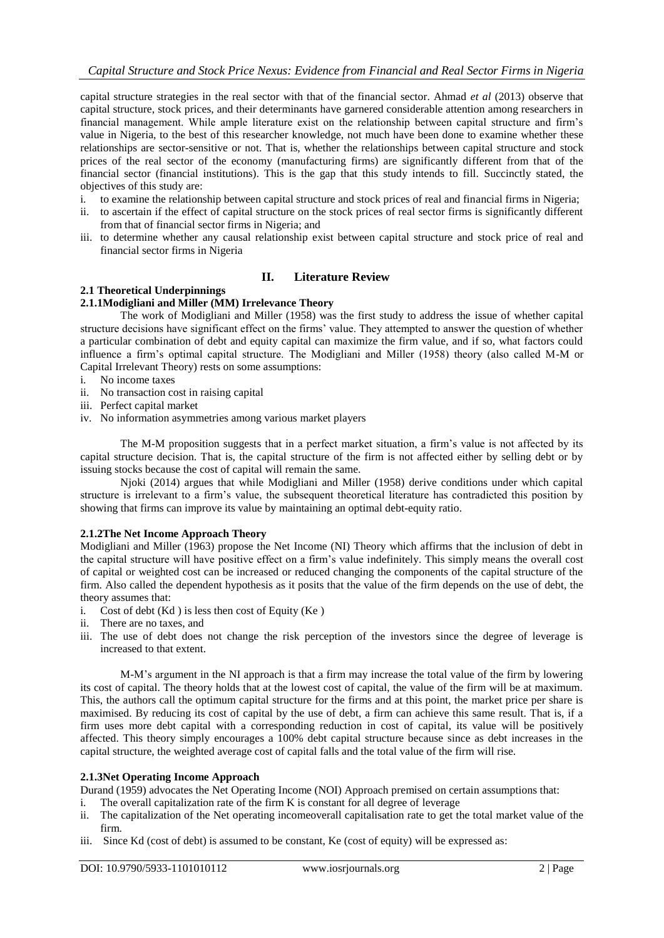capital structure strategies in the real sector with that of the financial sector. Ahmad *et al* (2013) observe that capital structure, stock prices, and their determinants have garnered considerable attention among researchers in financial management. While ample literature exist on the relationship between capital structure and firm"s value in Nigeria, to the best of this researcher knowledge, not much have been done to examine whether these relationships are sector-sensitive or not. That is, whether the relationships between capital structure and stock prices of the real sector of the economy (manufacturing firms) are significantly different from that of the financial sector (financial institutions). This is the gap that this study intends to fill. Succinctly stated, the objectives of this study are:

- i. to examine the relationship between capital structure and stock prices of real and financial firms in Nigeria;
- ii. to ascertain if the effect of capital structure on the stock prices of real sector firms is significantly different from that of financial sector firms in Nigeria; and
- iii. to determine whether any causal relationship exist between capital structure and stock price of real and financial sector firms in Nigeria

## **II. Literature Review**

## **2.1 Theoretical Underpinnings**

## **2.1.1Modigliani and Miller (MM) Irrelevance Theory**

The work of Modigliani and Miller (1958) was the first study to address the issue of whether capital structure decisions have significant effect on the firms" value. They attempted to answer the question of whether a particular combination of debt and equity capital can maximize the firm value, and if so, what factors could influence a firm"s optimal capital structure. The Modigliani and Miller (1958) theory (also called M-M or Capital Irrelevant Theory) rests on some assumptions:

- i. No income taxes
- ii. No transaction cost in raising capital
- iii. Perfect capital market
- iv. No information asymmetries among various market players

The M-M proposition suggests that in a perfect market situation, a firm"s value is not affected by its capital structure decision. That is, the capital structure of the firm is not affected either by selling debt or by issuing stocks because the cost of capital will remain the same.

Njoki (2014) argues that while Modigliani and Miller (1958) derive conditions under which capital structure is irrelevant to a firm"s value, the subsequent theoretical literature has contradicted this position by showing that firms can improve its value by maintaining an optimal debt-equity ratio.

## **2.1.2The Net Income Approach Theory**

Modigliani and Miller (1963) propose the Net Income (NI) Theory which affirms that the inclusion of debt in the capital structure will have positive effect on a firm"s value indefinitely. This simply means the overall cost of capital or weighted cost can be increased or reduced changing the components of the capital structure of the firm. Also called the dependent hypothesis as it posits that the value of the firm depends on the use of debt, the theory assumes that:

- i. Cost of debt  $(Kd)$  is less then cost of Equity  $(Ke)$
- ii. There are no taxes, and
- iii. The use of debt does not change the risk perception of the investors since the degree of leverage is increased to that extent.

M-M"s argument in the NI approach is that a firm may increase the total value of the firm by lowering its cost of capital. The theory holds that at the lowest cost of capital, the value of the firm will be at maximum. This, the authors call the optimum capital structure for the firms and at this point, the market price per share is maximised. By reducing its cost of capital by the use of debt, a firm can achieve this same result. That is, if a firm uses more debt capital with a corresponding reduction in cost of capital, its value will be positively affected. This theory simply encourages a 100% debt capital structure because since as debt increases in the capital structure, the weighted average cost of capital falls and the total value of the firm will rise.

#### **2.1.3Net Operating Income Approach**

Durand (1959) advocates the Net Operating Income (NOI) Approach premised on certain assumptions that:

- i. The overall capitalization rate of the firm K is constant for all degree of leverage
- ii. The capitalization of the Net operating incomeoverall capitalisation rate to get the total market value of the firm.
- iii. Since Kd (cost of debt) is assumed to be constant, Ke (cost of equity) will be expressed as: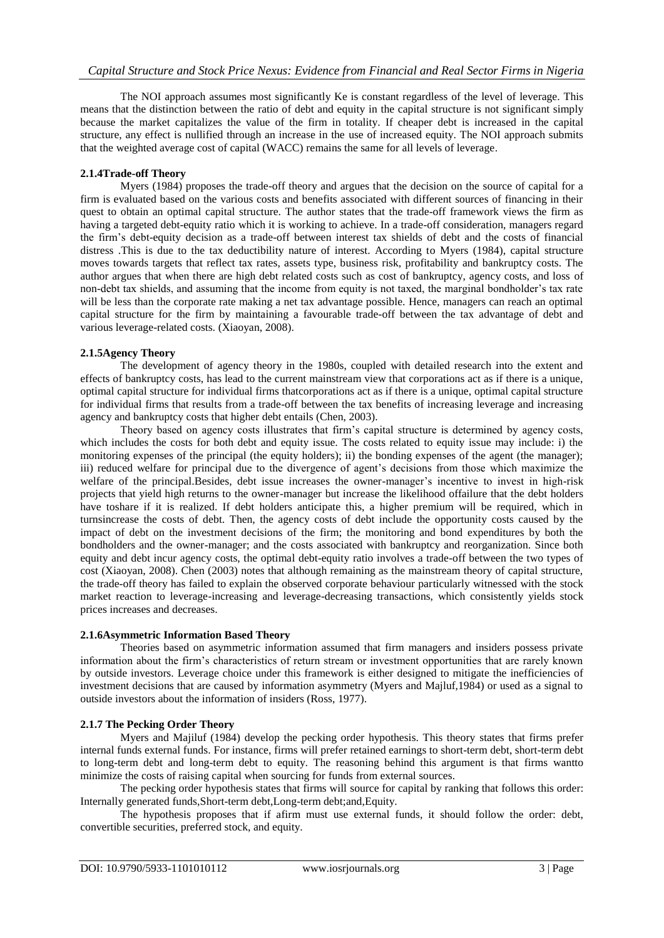The NOI approach assumes most significantly Ke is constant regardless of the level of leverage. This means that the distinction between the ratio of debt and equity in the capital structure is not significant simply because the market capitalizes the value of the firm in totality. If cheaper debt is increased in the capital structure, any effect is nullified through an increase in the use of increased equity. The NOI approach submits that the weighted average cost of capital (WACC) remains the same for all levels of leverage.

## **2.1.4Trade-off Theory**

Myers (1984) proposes the trade-off theory and argues that the decision on the source of capital for a firm is evaluated based on the various costs and benefits associated with different sources of financing in their quest to obtain an optimal capital structure. The author states that the trade-off framework views the firm as having a targeted debt-equity ratio which it is working to achieve. In a trade-off consideration, managers regard the firm"s debt-equity decision as a trade-off between interest tax shields of debt and the costs of financial distress .This is due to the tax deductibility nature of interest. According to Myers (1984), capital structure moves towards targets that reflect tax rates, assets type, business risk, profitability and bankruptcy costs. The author argues that when there are high debt related costs such as cost of bankruptcy, agency costs, and loss of non-debt tax shields, and assuming that the income from equity is not taxed, the marginal bondholder"s tax rate will be less than the corporate rate making a net tax advantage possible. Hence, managers can reach an optimal capital structure for the firm by maintaining a favourable trade-off between the tax advantage of debt and various leverage-related costs. (Xiaoyan, 2008).

## **2.1.5Agency Theory**

The development of agency theory in the 1980s, coupled with detailed research into the extent and effects of bankruptcy costs, has lead to the current mainstream view that corporations act as if there is a unique, optimal capital structure for individual firms thatcorporations act as if there is a unique, optimal capital structure for individual firms that results from a trade-off between the tax benefits of increasing leverage and increasing agency and bankruptcy costs that higher debt entails (Chen, 2003).

Theory based on agency costs illustrates that firm"s capital structure is determined by agency costs, which includes the costs for both debt and equity issue. The costs related to equity issue may include: i) the monitoring expenses of the principal (the equity holders); ii) the bonding expenses of the agent (the manager); iii) reduced welfare for principal due to the divergence of agent"s decisions from those which maximize the welfare of the principal.Besides, debt issue increases the owner-manager"s incentive to invest in high-risk projects that yield high returns to the owner-manager but increase the likelihood offailure that the debt holders have toshare if it is realized. If debt holders anticipate this, a higher premium will be required, which in turnsincrease the costs of debt. Then, the agency costs of debt include the opportunity costs caused by the impact of debt on the investment decisions of the firm; the monitoring and bond expenditures by both the bondholders and the owner-manager; and the costs associated with bankruptcy and reorganization. Since both equity and debt incur agency costs, the optimal debt-equity ratio involves a trade-off between the two types of cost (Xiaoyan, 2008). Chen (2003) notes that although remaining as the mainstream theory of capital structure, the trade-off theory has failed to explain the observed corporate behaviour particularly witnessed with the stock market reaction to leverage-increasing and leverage-decreasing transactions, which consistently yields stock prices increases and decreases.

#### **2.1.6Asymmetric Information Based Theory**

Theories based on asymmetric information assumed that firm managers and insiders possess private information about the firm"s characteristics of return stream or investment opportunities that are rarely known by outside investors. Leverage choice under this framework is either designed to mitigate the inefficiencies of investment decisions that are caused by information asymmetry (Myers and Majluf,1984) or used as a signal to outside investors about the information of insiders (Ross, 1977).

## **2.1.7 The Pecking Order Theory**

Myers and Majiluf (1984) develop the pecking order hypothesis. This theory states that firms prefer internal funds external funds. For instance, firms will prefer retained earnings to short-term debt, short-term debt to long-term debt and long-term debt to equity. The reasoning behind this argument is that firms wantto minimize the costs of raising capital when sourcing for funds from external sources.

The pecking order hypothesis states that firms will source for capital by ranking that follows this order: Internally generated funds,Short-term debt,Long-term debt;and,Equity.

The hypothesis proposes that if afirm must use external funds, it should follow the order: debt, convertible securities, preferred stock, and equity.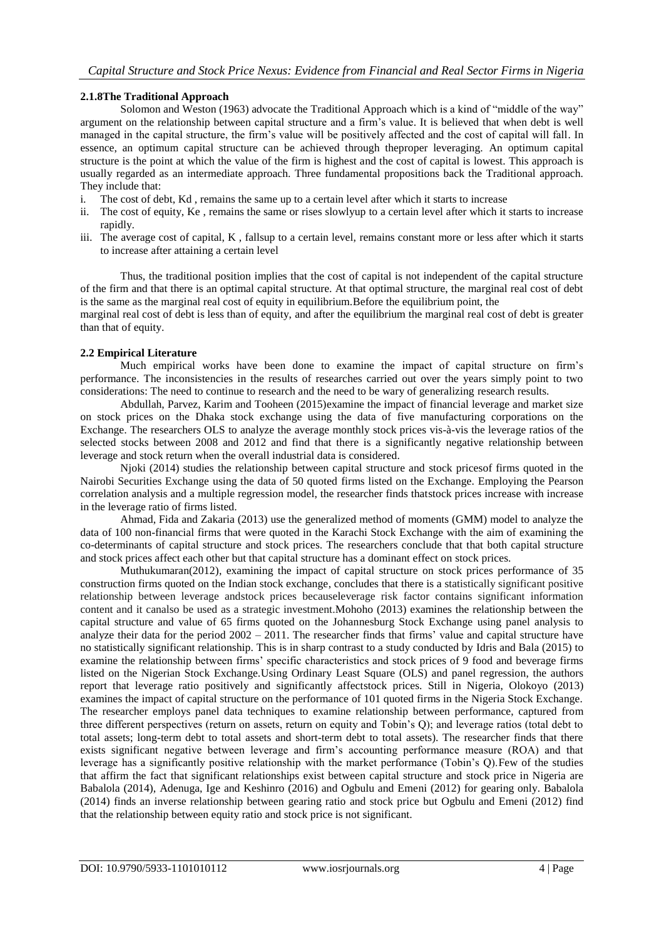## **2.1.8The Traditional Approach**

Solomon and Weston (1963) advocate the Traditional Approach which is a kind of "middle of the way" argument on the relationship between capital structure and a firm"s value. It is believed that when debt is well managed in the capital structure, the firm"s value will be positively affected and the cost of capital will fall. In essence, an optimum capital structure can be achieved through theproper leveraging. An optimum capital structure is the point at which the value of the firm is highest and the cost of capital is lowest. This approach is usually regarded as an intermediate approach. Three fundamental propositions back the Traditional approach. They include that:

- i. The cost of debt, Kd , remains the same up to a certain level after which it starts to increase
- ii. The cost of equity, Ke , remains the same or rises slowlyup to a certain level after which it starts to increase rapidly.
- iii. The average cost of capital, K , fallsup to a certain level, remains constant more or less after which it starts to increase after attaining a certain level

Thus, the traditional position implies that the cost of capital is not independent of the capital structure of the firm and that there is an optimal capital structure. At that optimal structure, the marginal real cost of debt is the same as the marginal real cost of equity in equilibrium.Before the equilibrium point, the

marginal real cost of debt is less than of equity, and after the equilibrium the marginal real cost of debt is greater than that of equity.

#### **2.2 Empirical Literature**

Much empirical works have been done to examine the impact of capital structure on firm"s performance. The inconsistencies in the results of researches carried out over the years simply point to two considerations: The need to continue to research and the need to be wary of generalizing research results.

Abdullah, Parvez, Karim and Tooheen (2015)examine the impact of financial leverage and market size on stock prices on the Dhaka stock exchange using the data of five manufacturing corporations on the Exchange. The researchers OLS to analyze the average monthly stock prices vis-à-vis the leverage ratios of the selected stocks between 2008 and 2012 and find that there is a significantly negative relationship between leverage and stock return when the overall industrial data is considered.

Njoki (2014) studies the relationship between capital structure and stock pricesof firms quoted in the Nairobi Securities Exchange using the data of 50 quoted firms listed on the Exchange. Employing the Pearson correlation analysis and a multiple regression model, the researcher finds thatstock prices increase with increase in the leverage ratio of firms listed.

Ahmad, Fida and Zakaria (2013) use the generalized method of moments (GMM) model to analyze the data of 100 non-financial firms that were quoted in the Karachi Stock Exchange with the aim of examining the co-determinants of capital structure and stock prices. The researchers conclude that that both capital structure and stock prices affect each other but that capital structure has a dominant effect on stock prices.

Muthukumaran(2012), examining the impact of capital structure on stock prices performance of 35 construction firms quoted on the Indian stock exchange, concludes that there is a statistically significant positive relationship between leverage andstock prices becauseleverage risk factor contains significant information content and it canalso be used as a strategic investment.Mohoho (2013) examines the relationship between the capital structure and value of 65 firms quoted on the Johannesburg Stock Exchange using panel analysis to analyze their data for the period  $2002 - 2011$ . The researcher finds that firms' value and capital structure have no statistically significant relationship. This is in sharp contrast to a study conducted by Idris and Bala (2015) to examine the relationship between firms" specific characteristics and stock prices of 9 food and beverage firms listed on the Nigerian Stock Exchange.Using Ordinary Least Square (OLS) and panel regression, the authors report that leverage ratio positively and significantly affectstock prices. Still in Nigeria, Olokoyo (2013) examines the impact of capital structure on the performance of 101 quoted firms in the Nigeria Stock Exchange. The researcher employs panel data techniques to examine relationship between performance, captured from three different perspectives (return on assets, return on equity and Tobin"s Q); and leverage ratios (total debt to total assets; long-term debt to total assets and short-term debt to total assets). The researcher finds that there exists significant negative between leverage and firm"s accounting performance measure (ROA) and that leverage has a significantly positive relationship with the market performance (Tobin"s Q).Few of the studies that affirm the fact that significant relationships exist between capital structure and stock price in Nigeria are Babalola (2014), Adenuga, Ige and Keshinro (2016) and Ogbulu and Emeni (2012) for gearing only. Babalola (2014) finds an inverse relationship between gearing ratio and stock price but Ogbulu and Emeni (2012) find that the relationship between equity ratio and stock price is not significant.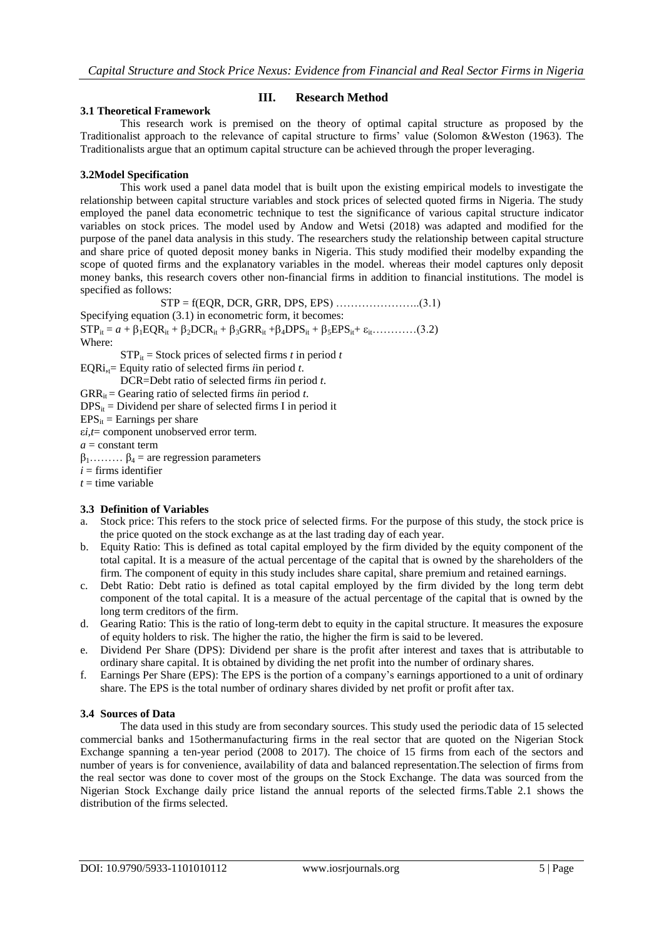## **III. Research Method**

#### **3.1 Theoretical Framework**

This research work is premised on the theory of optimal capital structure as proposed by the Traditionalist approach to the relevance of capital structure to firms" value (Solomon &Weston (1963). The Traditionalists argue that an optimum capital structure can be achieved through the proper leveraging.

#### **3.2Model Specification**

This work used a panel data model that is built upon the existing empirical models to investigate the relationship between capital structure variables and stock prices of selected quoted firms in Nigeria. The study employed the panel data econometric technique to test the significance of various capital structure indicator variables on stock prices. The model used by Andow and Wetsi (2018) was adapted and modified for the purpose of the panel data analysis in this study. The researchers study the relationship between capital structure and share price of quoted deposit money banks in Nigeria. This study modified their modelby expanding the scope of quoted firms and the explanatory variables in the model. whereas their model captures only deposit money banks, this research covers other non-financial firms in addition to financial institutions. The model is specified as follows:

STP = f(EQR, DCR, GRR, DPS, EPS) …………………..(3.1) Specifying equation (3.1) in econometric form, it becomes:  $STP_{it} = a + \beta_1 EQR_{it} + \beta_2 DCR_{it} + \beta_3 GRR_{it} + \beta_4 DPS_{it} + \beta_5 EPS_{it} + \epsilon_{it}$ …………(3.2) Where:  $STP_{it}$  = Stock prices of selected firms *t* in period *t* EQRi<sub>,t</sub>= Equity ratio of selected firms *i*in period *t*.

DCR=Debt ratio of selected firms *i*in period *t*.

 $GRR_{it}$  = Gearing ratio of selected firms *i*in period *t*.

 $DPS_{it}$  = Dividend per share of selected firms I in period it

 $EPS_{it}$  = Earnings per share

ε*i,t*= component unobserved error term.

*a* = constant term

 $\beta_1$ ……  $\beta_4$  = are regression parameters

 $i =$  firms identifier

 $t =$  time variable

#### **3.3 Definition of Variables**

- a. Stock price: This refers to the stock price of selected firms. For the purpose of this study, the stock price is the price quoted on the stock exchange as at the last trading day of each year.
- b. Equity Ratio: This is defined as total capital employed by the firm divided by the equity component of the total capital. It is a measure of the actual percentage of the capital that is owned by the shareholders of the firm. The component of equity in this study includes share capital, share premium and retained earnings.
- c. Debt Ratio: Debt ratio is defined as total capital employed by the firm divided by the long term debt component of the total capital. It is a measure of the actual percentage of the capital that is owned by the long term creditors of the firm.
- d. Gearing Ratio: This is the ratio of long-term debt to equity in the capital structure. It measures the exposure of equity holders to risk. The higher the ratio, the higher the firm is said to be levered.
- e. Dividend Per Share (DPS): Dividend per share is the profit after interest and taxes that is attributable to ordinary share capital. It is obtained by dividing the net profit into the number of ordinary shares.
- f. Earnings Per Share (EPS): The EPS is the portion of a company"s earnings apportioned to a unit of ordinary share. The EPS is the total number of ordinary shares divided by net profit or profit after tax.

#### **3.4 Sources of Data**

The data used in this study are from secondary sources. This study used the periodic data of 15 selected commercial banks and 15othermanufacturing firms in the real sector that are quoted on the Nigerian Stock Exchange spanning a ten-year period (2008 to 2017). The choice of 15 firms from each of the sectors and number of years is for convenience, availability of data and balanced representation.The selection of firms from the real sector was done to cover most of the groups on the Stock Exchange. The data was sourced from the Nigerian Stock Exchange daily price listand the annual reports of the selected firms.Table 2.1 shows the distribution of the firms selected.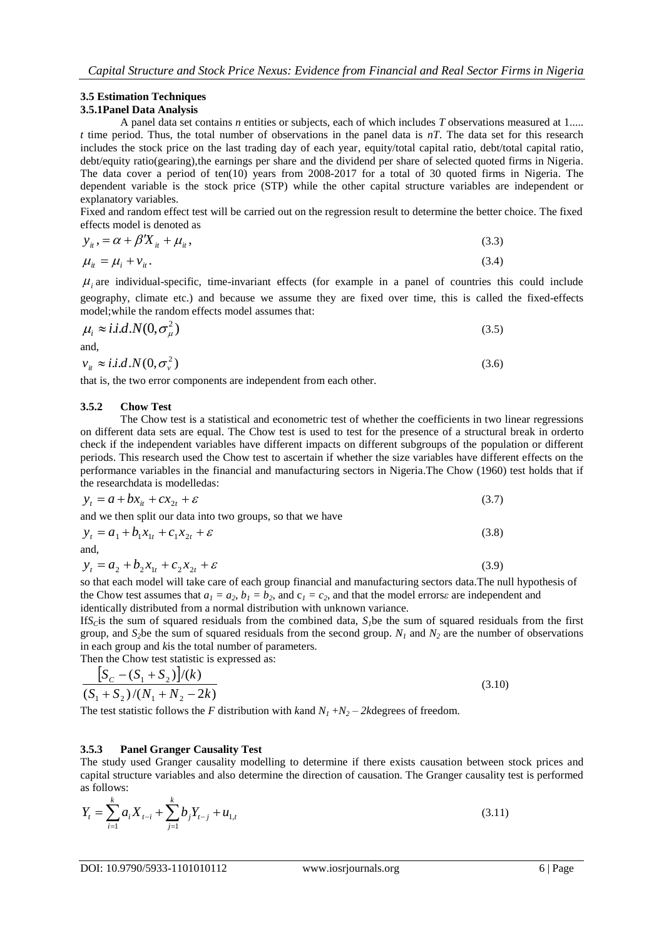## **3.5 Estimation Techniques**

## **3.5.1Panel Data Analysis**

A panel data set contains *n* entities or subjects, each of which includes *T* observations measured at 1..... *t* time period. Thus, the total number of observations in the panel data is *nT*. The data set for this research includes the stock price on the last trading day of each year, equity/total capital ratio, debt/total capital ratio, debt/equity ratio(gearing),the earnings per share and the dividend per share of selected quoted firms in Nigeria. The data cover a period of ten(10) years from 2008-2017 for a total of 30 quoted firms in Nigeria. The dependent variable is the stock price (STP) while the other capital structure variables are independent or explanatory variables.

Fixed and random effect test will be carried out on the regression result to determine the better choice. The fixed effects model is denoted as

$$
y_{ii} = \alpha + \beta' X_{ii} + \mu_{ii},
$$
  
\n
$$
\mu_{ii} = \mu_i + \nu_{ii}.
$$
\n(3.3)

 $\mu$ <sub>i</sub> are individual-specific, time-invariant effects (for example in a panel of countries this could include geography, climate etc.) and because we assume they are fixed over time, this is called the fixed-effects model;while the random effects model assumes that:

$$
\mu_i \approx i.i.d.N(0, \sigma_{\mu}^2)
$$
  
and,  

$$
v_{ii} \approx i.i.d.N(0, \sigma_{\mu}^2)
$$
 (3.6)

$$
v_{ii} \approx i.i.d.N(0,\sigma_v^2)
$$

that is, the two error components are independent from each other.

## **3.5.2 Chow Test**

The Chow test is a [statistical](http://en.wikipedia.org/wiki/Statistical) and [econometric](http://en.wikipedia.org/wiki/Econometric) test of whether the coefficients in two [linear regressions](http://en.wikipedia.org/wiki/Linear_regression) on different data sets are equal. The Chow test is used to test for the presence of a [structural break](http://en.wikipedia.org/wiki/Structural_break) in orderto check if the independent variables have different impacts on different subgroups of the population or different periods. This research used the Chow test to ascertain if whether the size variables have different effects on the performance variables in the financial and manufacturing sectors in Nigeria.The Chow (1960) test holds that if the researchdata is modelledas:

$$
y_t = a + bx_{it} + cx_{2t} + \varepsilon \tag{3.7}
$$

and we then split our data into two groups, so that we have

$$
y_t = a_1 + b_1 x_{1t} + c_1 x_{2t} + \varepsilon
$$
\n(3.8)

$$
y_t = a_2 + b_2 x_{1t} + c_2 x_{2t} + \varepsilon
$$
\n(3.9)

so that each model will take care of each group financial and manufacturing sectors data.Th[e null hypothesis](http://en.wikipedia.org/wiki/Null_hypothesis) of the Chow test assumes that  $a_1 = a_2$ ,  $b_1 = b_2$ , and  $c_1 = c_2$ , and that the [model errors](http://en.wikipedia.org/wiki/Errors_and_residuals_in_statistics)*ε* are independent and [identically distributed](http://en.wikipedia.org/wiki/Independent_and_identically_distributed) from a [normal distribution](http://en.wikipedia.org/wiki/Normal_distribution) with unknown [variance.](http://en.wikipedia.org/wiki/Variance)

If  $S<sub>C</sub>$  is the sum of squared [residuals](http://en.wikipedia.org/wiki/Errors_and_residuals_in_statistics) from the combined data,  $S<sub>I</sub>$  be the sum of squared residuals from the first group, and  $S_2$ be the sum of squared [residuals](http://en.wikipedia.org/wiki/Errors_and_residuals_in_statistics) from the second group.  $N_I$  and  $N_2$  are the number of observations in each group and *k*is the total number of parameters.

Then the Chow test statistic is expressed as:

$$
\frac{\left[S_c - (S_1 + S_2)\right]/(k)}{(S_1 + S_2)/(N_1 + N_2 - 2k)}
$$
\n(3.10)

The test statistic follows the *F* [distribution](http://en.wikipedia.org/wiki/F_distribution) with *k*and  $N_1 + N_2 - 2k$  [degrees of freedom.](http://en.wikipedia.org/wiki/Degrees_of_freedom_%28statistics%29)

## **3.5.3 Panel Granger Causality Test**

The study used Granger causality modelling to determine if there exists causation between stock prices and capital structure variables and also determine the direction of causation. The Granger causality test is performed as follows:

$$
Y_{t} = \sum_{i=1}^{k} a_{i} X_{t-i} + \sum_{j=1}^{k} b_{j} Y_{t-j} + u_{1,t}
$$
\n(3.11)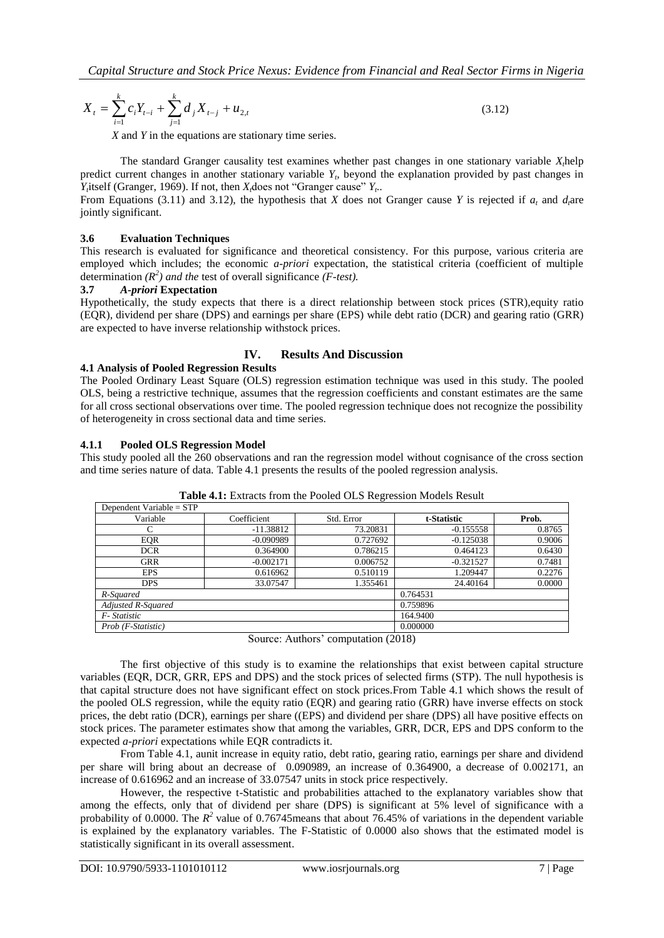$$
X_{t} = \sum_{i=1}^{k} c_{i} Y_{t-i} + \sum_{j=1}^{k} d_{j} X_{t-j} + u_{2,t}
$$
\n(3.12)

*X* and *Y* in the equations are stationary time series.

The standard Granger causality test examines whether past changes in one stationary variable *Xt*help predict current changes in another stationary variable  $Y_t$ , beyond the explanation provided by past changes in *Y*<sub>*t*</sub></sub> itself (Granger, 1969). If not, then *X*<sub>*d*</sub> does not "Granger cause" *Y*<sub>t</sub>.

From Equations (3.11) and 3.12), the hypothesis that *X* does not Granger cause *Y* is rejected if  $a_t$  and  $d_t$ are jointly significant.

#### **3.6 Evaluation Techniques**

This research is evaluated for significance and theoretical consistency. For this purpose, various criteria are employed which includes; the economic *a-priori* expectation, the statistical criteria (coefficient of multiple determination  $(R^2)$  *and the test of overall significance (F-test).* 

## **3.7** *A-priori* **Expectation**

Hypothetically, the study expects that there is a direct relationship between stock prices (STR),equity ratio (EQR), dividend per share (DPS) and earnings per share (EPS) while debt ratio (DCR) and gearing ratio (GRR) are expected to have inverse relationship withstock prices.

## **IV. Results And Discussion**

#### **4.1 Analysis of Pooled Regression Results**

The Pooled Ordinary Least Square (OLS) regression estimation technique was used in this study. The pooled OLS, being a restrictive technique, assumes that the regression coefficients and constant estimates are the same for all cross sectional observations over time. The pooled regression technique does not recognize the possibility of heterogeneity in cross sectional data and time series.

#### **4.1.1 Pooled OLS Regression Model**

This study pooled all the 260 observations and ran the regression model without cognisance of the cross section and time series nature of data. Table 4.1 presents the results of the pooled regression analysis.

| Dependent Variable = $STP$ |             |          |             |        |
|----------------------------|-------------|----------|-------------|--------|
| Variable                   | Coefficient |          | t-Statistic | Prob.  |
| С                          | $-11.38812$ | 73.20831 | $-0.155558$ | 0.8765 |
| <b>EOR</b>                 | $-0.090989$ | 0.727692 | $-0.125038$ | 0.9006 |
| <b>DCR</b>                 | 0.364900    | 0.786215 | 0.464123    | 0.6430 |
| <b>GRR</b>                 | $-0.002171$ | 0.006752 | $-0.321527$ | 0.7481 |
| <b>EPS</b>                 | 0.616962    | 0.510119 | 1.209447    | 0.2276 |
| <b>DPS</b>                 | 33.07547    | 1.355461 | 24.40164    | 0.0000 |
| R-Squared                  |             | 0.764531 |             |        |
| Adjusted R-Squared         |             | 0.759896 |             |        |
| F-Statistic                |             | 164.9400 |             |        |
| Prob (F-Statistic)         |             | 0.000000 |             |        |

**Table 4.1:** Extracts from the Pooled OLS Regression Models Result

Source: Authors' computation (2018)

The first objective of this study is to examine the relationships that exist between capital structure variables (EQR, DCR, GRR, EPS and DPS) and the stock prices of selected firms (STP). The null hypothesis is that capital structure does not have significant effect on stock prices.From Table 4.1 which shows the result of the pooled OLS regression, while the equity ratio (EQR) and gearing ratio (GRR) have inverse effects on stock prices, the debt ratio (DCR), earnings per share ((EPS) and dividend per share (DPS) all have positive effects on stock prices. The parameter estimates show that among the variables, GRR, DCR, EPS and DPS conform to the expected *a-priori* expectations while EQR contradicts it.

From Table 4.1, aunit increase in equity ratio, debt ratio, gearing ratio, earnings per share and dividend per share will bring about an decrease of 0.090989, an increase of 0.364900, a decrease of 0.002171, an increase of 0.616962 and an increase of 33.07547 units in stock price respectively.

However, the respective t-Statistic and probabilities attached to the explanatory variables show that among the effects, only that of dividend per share (DPS) is significant at 5% level of significance with a probability of 0.0000. The  $R^2$  value of 0.76745 means that about 76.45% of variations in the dependent variable is explained by the explanatory variables. The F-Statistic of 0.0000 also shows that the estimated model is statistically significant in its overall assessment.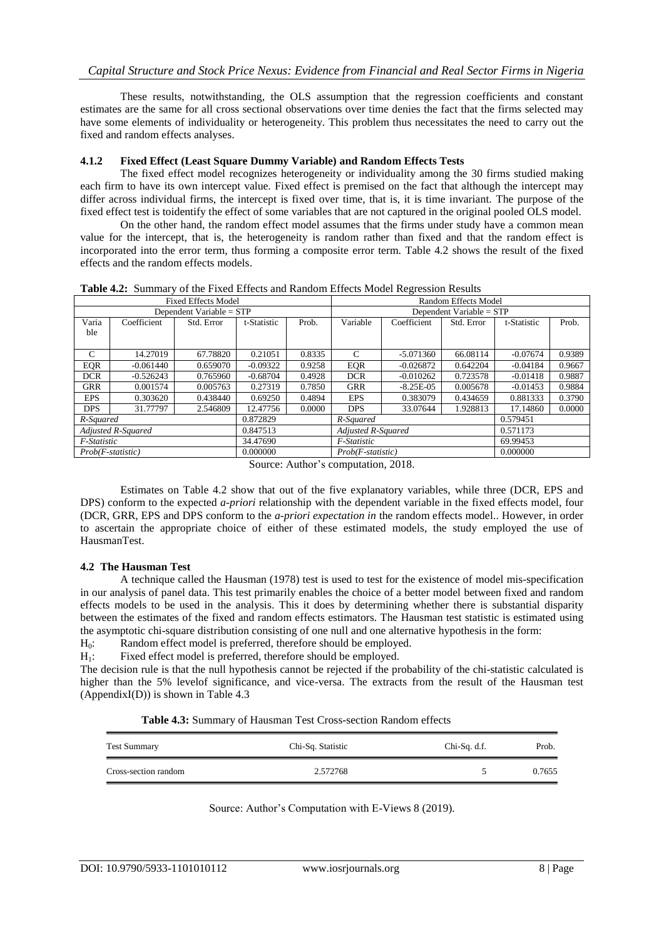These results, notwithstanding, the OLS assumption that the regression coefficients and constant estimates are the same for all cross sectional observations over time denies the fact that the firms selected may have some elements of individuality or heterogeneity. This problem thus necessitates the need to carry out the fixed and random effects analyses.

## **4.1.2 Fixed Effect (Least Square Dummy Variable) and Random Effects Tests**

The fixed effect model recognizes heterogeneity or individuality among the 30 firms studied making each firm to have its own intercept value. Fixed effect is premised on the fact that although the intercept may differ across individual firms, the intercept is fixed over time, that is, it is time invariant. The purpose of the fixed effect test is toidentify the effect of some variables that are not captured in the original pooled OLS model.

On the other hand, the random effect model assumes that the firms under study have a common mean value for the intercept, that is, the heterogeneity is random rather than fixed and that the random effect is incorporated into the error term, thus forming a composite error term. Table 4.2 shows the result of the fixed effects and the random effects models.

| <b>Fixed Effects Model</b>     |             |            |             | $\circ$<br>Random Effects Model |                     |               |            |             |        |
|--------------------------------|-------------|------------|-------------|---------------------------------|---------------------|---------------|------------|-------------|--------|
| Dependent Variable = $STP$     |             |            |             | Dependent Variable = STP        |                     |               |            |             |        |
| Varia                          | Coefficient | Std. Error | t-Statistic | Prob.                           | Variable            | Coefficient   | Std. Error | t-Statistic | Prob.  |
| ble                            |             |            |             |                                 |                     |               |            |             |        |
|                                |             |            |             |                                 |                     |               |            |             |        |
| C                              | 14.27019    | 67.78820   | 0.21051     | 0.8335                          | C                   | $-5.071360$   | 66.08114   | $-0.07674$  | 0.9389 |
| <b>EQR</b>                     | $-0.061440$ | 0.659070   | $-0.09322$  | 0.9258                          | <b>EOR</b>          | $-0.026872$   | 0.642204   | $-0.04184$  | 0.9667 |
| <b>DCR</b>                     | $-0.526243$ | 0.765960   | $-0.68704$  | 0.4928                          | <b>DCR</b>          | $-0.010262$   | 0.723578   | $-0.01418$  | 0.9887 |
| <b>GRR</b>                     | 0.001574    | 0.005763   | 0.27319     | 0.7850                          | <b>GRR</b>          | $-8.25E - 05$ | 0.005678   | $-0.01453$  | 0.9884 |
| <b>EPS</b>                     | 0.303620    | 0.438440   | 0.69250     | 0.4894                          | <b>EPS</b>          | 0.383079      | 0.434659   | 0.881333    | 0.3790 |
| <b>DPS</b>                     | 31.77797    | 2.546809   | 12.47756    | 0.0000                          | <b>DPS</b>          | 33.07644      | 1.928813   | 17.14860    | 0.0000 |
| R-Squared                      |             |            | 0.872829    |                                 | R-Squared           |               |            | 0.579451    |        |
| Adjusted R-Squared             |             | 0.847513   |             | Adjusted R-Squared              |                     |               | 0.571173   |             |        |
| F-Statistic                    |             | 34.47690   |             | F-Statistic                     |                     |               | 69.99453   |             |        |
| $Prob(F-statistic)$            |             |            | 0.000000    |                                 | $Prob(F-statistic)$ |               | 0.000000   |             |        |
| $\alpha$ and $\alpha$<br>0.010 |             |            |             |                                 |                     |               |            |             |        |

**Table 4.2:** Summary of the Fixed Effects and Random Effects Model Regression Results

Source: Author"s computation, 2018.

Estimates on Table 4.2 show that out of the five explanatory variables, while three (DCR, EPS and DPS) conform to the expected *a-priori* relationship with the dependent variable in the fixed effects model, four (DCR, GRR, EPS and DPS conform to the *a-priori expectation in* the random effects model.. However, in order to ascertain the appropriate choice of either of these estimated models, the study employed the use of HausmanTest.

## **4.2 The Hausman Test**

A technique called the Hausman (1978) test is used to test for the existence of model mis-specification in our analysis of panel data. This test primarily enables the choice of a better model between fixed and random effects models to be used in the analysis. This it does by determining whether there is substantial disparity between the estimates of the fixed and random effects estimators. The Hausman test statistic is estimated using the asymptotic chi-square distribution consisting of one null and one alternative hypothesis in the form:

H<sub>0</sub>: Random effect model is preferred, therefore should be employed.

H<sub>1</sub>: Fixed effect model is preferred, therefore should be employed.

The decision rule is that the null hypothesis cannot be rejected if the probability of the chi-statistic calculated is higher than the 5% levelof significance, and vice-versa. The extracts from the result of the Hausman test (AppendixI(D)) is shown in Table  $4.3$ 

**Table 4.3:** Summary of Hausman Test Cross-section Random effects

| <b>Test Summary</b>  | Chi-Sq. Statistic | Chi-Sq. d.f. | Prob.  |
|----------------------|-------------------|--------------|--------|
| Cross-section random | 2.572768          |              | 0.7655 |

Source: Author's Computation with E-Views 8 (2019).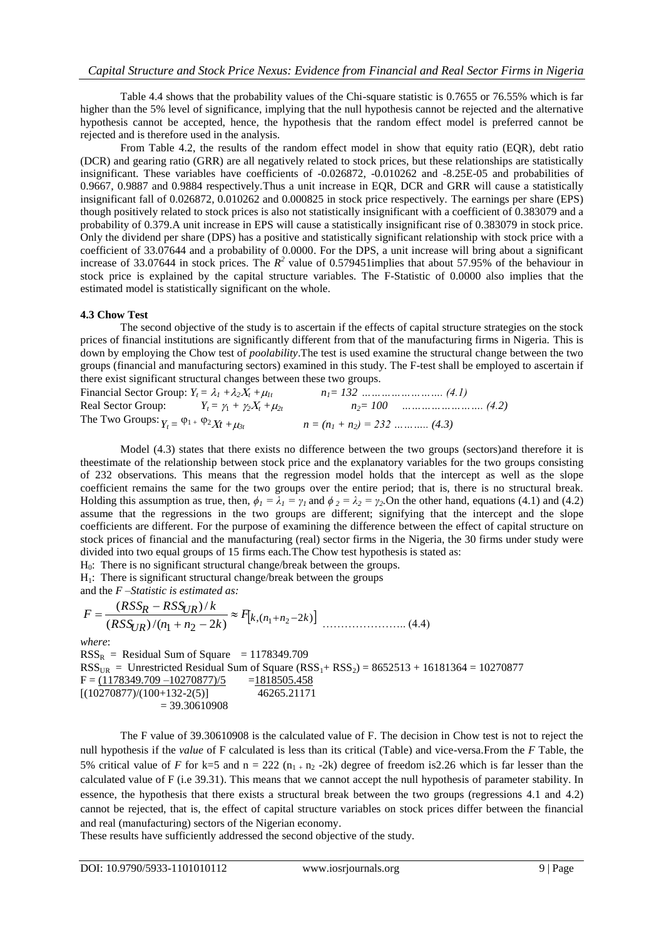Table 4.4 shows that the probability values of the Chi-square statistic is 0.7655 or 76.55% which is far higher than the 5% level of significance, implying that the null hypothesis cannot be rejected and the alternative hypothesis cannot be accepted, hence, the hypothesis that the random effect model is preferred cannot be rejected and is therefore used in the analysis.

From Table 4.2, the results of the random effect model in show that equity ratio (EQR), debt ratio (DCR) and gearing ratio (GRR) are all negatively related to stock prices, but these relationships are statistically insignificant. These variables have coefficients of -0.026872, -0.010262 and -8.25E-05 and probabilities of 0.9667, 0.9887 and 0.9884 respectively.Thus a unit increase in EQR, DCR and GRR will cause a statistically insignificant fall of 0.026872, 0.010262 and 0.000825 in stock price respectively. The earnings per share (EPS) though positively related to stock prices is also not statistically insignificant with a coefficient of 0.383079 and a probability of 0.379.A unit increase in EPS will cause a statistically insignificant rise of 0.383079 in stock price. Only the dividend per share (DPS) has a positive and statistically significant relationship with stock price with a coefficient of 33.07644 and a probability of 0.0000. For the DPS, a unit increase will bring about a significant increase of 33.07644 in stock prices. The  $R^2$  value of 0.579451 implies that about 57.95% of the behaviour in stock price is explained by the capital structure variables. The F-Statistic of 0.0000 also implies that the estimated model is statistically significant on the whole.

## **4.3 Chow Test**

The second objective of the study is to ascertain if the effects of capital structure strategies on the stock prices of financial institutions are significantly different from that of the manufacturing firms in Nigeria. This is down by employing the Chow test of *poolability*.The test is used examine the structural change between the two groups (financial and manufacturing sectors) examined in this study. The F-test shall be employed to ascertain if there exist significant structural changes between these two groups.

Financial Sector Group: *Yt = <sup>1</sup> +2<sup>t</sup> +1t n1= 132 ……………………. (4.1)* Real Sector Group:  $Y_t = \gamma_1 + \gamma_2 X_t + \mu_{2t}$   $n_2 = 100$  *…………………..* (4.2) The Two Groups:  $Y_t = \varphi_1 + \varphi_2 X_t + \mu_{3t}$  $n = (n_1 + n_2) = 232$  ……….. *(4.3)* 

Model (4.3) states that there exists no difference between the two groups (sectors)and therefore it is theestimate of the relationship between stock price and the explanatory variables for the two groups consisting of 232 observations. This means that the regression model holds that the intercept as well as the slope coefficient remains the same for the two groups over the entire period; that is, there is no structural break. Holding this assumption as true, then,  $\phi_1 = \lambda_1 = \gamma_1$  and  $\phi_2 = \lambda_2 = \gamma_2$ . On the other hand, equations (4.1) and (4.2) assume that the regressions in the two groups are different; signifying that the intercept and the slope coefficients are different. For the purpose of examining the difference between the effect of capital structure on stock prices of financial and the manufacturing (real) sector firms in the Nigeria, the 30 firms under study were divided into two equal groups of 15 firms each.The Chow test hypothesis is stated as:

H0: There is no significant structural change/break between the groups.

 $H<sub>1</sub>$ : There is significant structural change/break between the groups

and the *F –Statistic is estimated as:*

$$
F = \frac{(RSS_R - RSS_{UR})/k}{(RSS_{UR})/(n_1 + n_2 - 2k)} \approx F_{k,(n_1 + n_2 - 2k)} \quad \dots \dots \dots \dots \dots \tag{4.4}
$$

*where*:

 $RSS<sub>R</sub>$  = Residual Sum of Square = 1178349.709  $RSS_{UR}$  = Unrestricted Residual Sum of Square (RSS<sub>1</sub>+ RSS<sub>2</sub>) = 8652513 + 16181364 = 10270877<br>F = (1178349.709 - 10270877)/5 = 1818505.458  $F = (1178349.709 - 10270877)/5$  $[(10270877)/(100+132-2(5))]$  46265.21171  $= 39.30610908$ 

The F value of 39.30610908 is the calculated value of F. The decision in Chow test is not to reject the null hypothesis if the *value* of F calculated is less than its critical (Table) and vice-versa.From the *F* Table, the 5% critical value of *F* for k=5 and  $n = 222 (n_{1+} n_2 - 2k)$  degree of freedom is 2.26 which is far lesser than the calculated value of F (i.e 39.31). This means that we cannot accept the null hypothesis of parameter stability. In essence, the hypothesis that there exists a structural break between the two groups (regressions 4.1 and 4.2) cannot be rejected, that is, the effect of capital structure variables on stock prices differ between the financial and real (manufacturing) sectors of the Nigerian economy.

These results have sufficiently addressed the second objective of the study.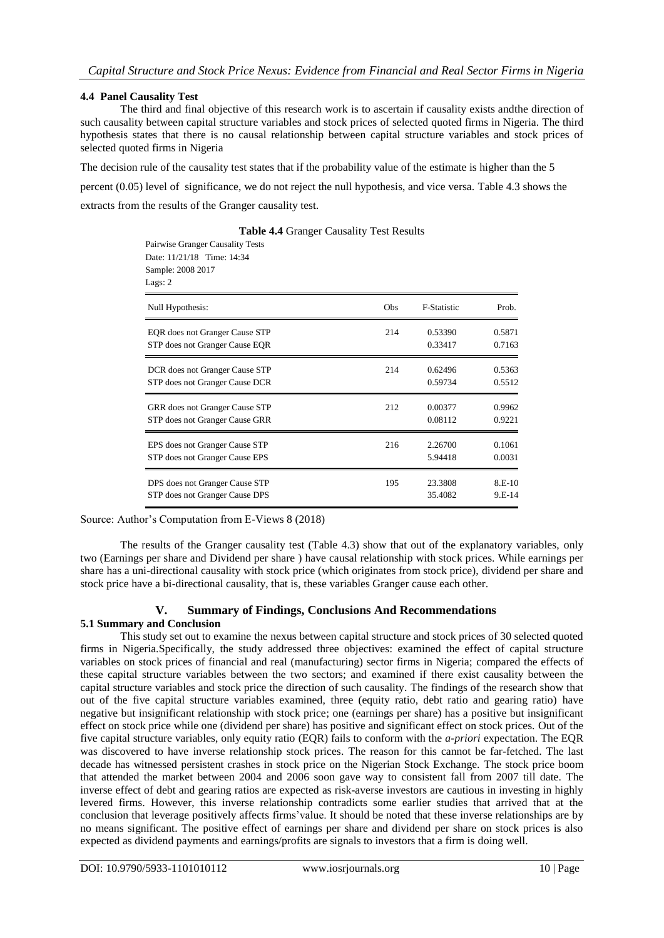## **4.4 Panel Causality Test**

The third and final objective of this research work is to ascertain if causality exists andthe direction of such causality between capital structure variables and stock prices of selected quoted firms in Nigeria. The third hypothesis states that there is no causal relationship between capital structure variables and stock prices of selected quoted firms in Nigeria

The decision rule of the causality test states that if the probability value of the estimate is higher than the 5 percent (0.05) level of significance, we do not reject the null hypothesis, and vice versa. Table 4.3 shows the

extracts from the results of the Granger causality test.

Pairwise Granger Causality Tests Date: 11/21/18 Time: 14:34

| Sample: 2008 2017<br>Lags: 2   |     |                    |        |
|--------------------------------|-----|--------------------|--------|
| Null Hypothesis:               | Obs | <b>F-Statistic</b> | Prob.  |
| EQR does not Granger Cause STP | 214 | 0.53390            | 0.5871 |
| STP does not Granger Cause EQR |     | 0.33417            | 0.7163 |
| DCR does not Granger Cause STP | 214 | 0.62496            | 0.5363 |
| STP does not Granger Cause DCR |     | 0.59734            | 0.5512 |
| GRR does not Granger Cause STP | 212 | 0.00377            | 0.9962 |
| STP does not Granger Cause GRR |     | 0.08112            | 0.9221 |
| EPS does not Granger Cause STP | 216 | 2.26700            | 0.1061 |
| STP does not Granger Cause EPS |     | 5.94418            | 0.0031 |
| DPS does not Granger Cause STP | 195 | 23.3808            | 8.E-10 |
| STP does not Granger Cause DPS |     | 35.4082            | 9.E-14 |

**Table 4.4** Granger Causality Test Results

Source: Author's Computation from E-Views 8 (2018)

The results of the Granger causality test (Table 4.3) show that out of the explanatory variables, only two (Earnings per share and Dividend per share ) have causal relationship with stock prices. While earnings per share has a uni-directional causality with stock price (which originates from stock price), dividend per share and stock price have a bi-directional causality, that is, these variables Granger cause each other.

## **V. Summary of Findings, Conclusions And Recommendations**

#### **5.1 Summary and Conclusion**

This study set out to examine the nexus between capital structure and stock prices of 30 selected quoted firms in Nigeria.Specifically, the study addressed three objectives: examined the effect of capital structure variables on stock prices of financial and real (manufacturing) sector firms in Nigeria; compared the effects of these capital structure variables between the two sectors; and examined if there exist causality between the capital structure variables and stock price the direction of such causality. The findings of the research show that out of the five capital structure variables examined, three (equity ratio, debt ratio and gearing ratio) have negative but insignificant relationship with stock price; one (earnings per share) has a positive but insignificant effect on stock price while one (dividend per share) has positive and significant effect on stock prices. Out of the five capital structure variables, only equity ratio (EQR) fails to conform with the *a-priori* expectation. The EQR was discovered to have inverse relationship stock prices. The reason for this cannot be far-fetched. The last decade has witnessed persistent crashes in stock price on the Nigerian Stock Exchange. The stock price boom that attended the market between 2004 and 2006 soon gave way to consistent fall from 2007 till date. The inverse effect of debt and gearing ratios are expected as risk-averse investors are cautious in investing in highly levered firms. However, this inverse relationship contradicts some earlier studies that arrived that at the conclusion that leverage positively affects firms"value. It should be noted that these inverse relationships are by no means significant. The positive effect of earnings per share and dividend per share on stock prices is also expected as dividend payments and earnings/profits are signals to investors that a firm is doing well.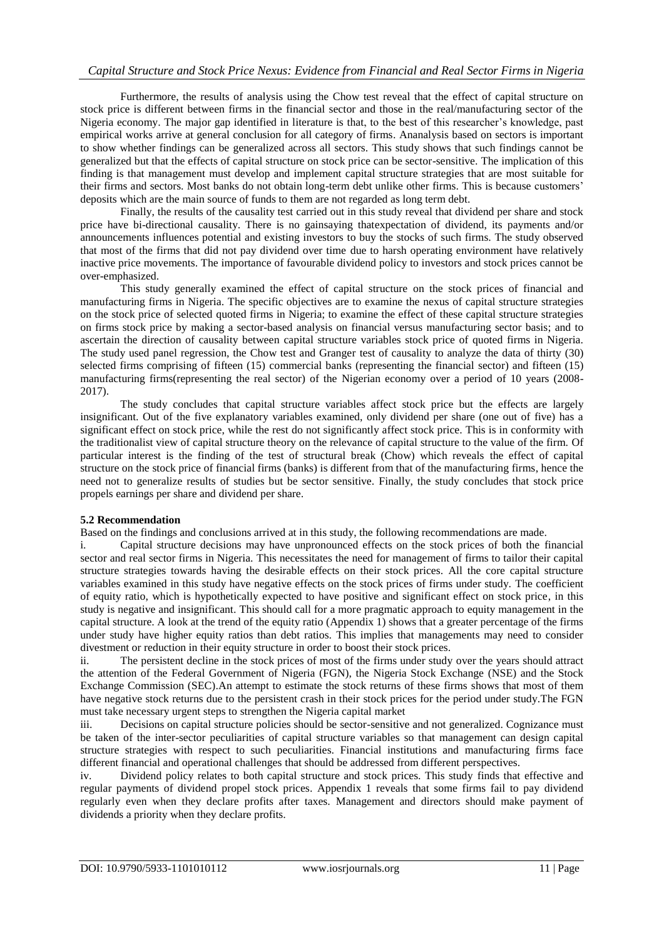## *Capital Structure and Stock Price Nexus: Evidence from Financial and Real Sector Firms in Nigeria*

Furthermore, the results of analysis using the Chow test reveal that the effect of capital structure on stock price is different between firms in the financial sector and those in the real/manufacturing sector of the Nigeria economy. The major gap identified in literature is that, to the best of this researcher"s knowledge, past empirical works arrive at general conclusion for all category of firms. Ananalysis based on sectors is important to show whether findings can be generalized across all sectors. This study shows that such findings cannot be generalized but that the effects of capital structure on stock price can be sector-sensitive. The implication of this finding is that management must develop and implement capital structure strategies that are most suitable for their firms and sectors. Most banks do not obtain long-term debt unlike other firms. This is because customers" deposits which are the main source of funds to them are not regarded as long term debt.

Finally, the results of the causality test carried out in this study reveal that dividend per share and stock price have bi-directional causality. There is no gainsaying thatexpectation of dividend, its payments and/or announcements influences potential and existing investors to buy the stocks of such firms. The study observed that most of the firms that did not pay dividend over time due to harsh operating environment have relatively inactive price movements. The importance of favourable dividend policy to investors and stock prices cannot be over-emphasized.

This study generally examined the effect of capital structure on the stock prices of financial and manufacturing firms in Nigeria. The specific objectives are to examine the nexus of capital structure strategies on the stock price of selected quoted firms in Nigeria; to examine the effect of these capital structure strategies on firms stock price by making a sector-based analysis on financial versus manufacturing sector basis; and to ascertain the direction of causality between capital structure variables stock price of quoted firms in Nigeria. The study used panel regression, the Chow test and Granger test of causality to analyze the data of thirty (30) selected firms comprising of fifteen (15) commercial banks (representing the financial sector) and fifteen (15) manufacturing firms(representing the real sector) of the Nigerian economy over a period of 10 years (2008- 2017).

The study concludes that capital structure variables affect stock price but the effects are largely insignificant. Out of the five explanatory variables examined, only dividend per share (one out of five) has a significant effect on stock price, while the rest do not significantly affect stock price. This is in conformity with the traditionalist view of capital structure theory on the relevance of capital structure to the value of the firm. Of particular interest is the finding of the test of structural break (Chow) which reveals the effect of capital structure on the stock price of financial firms (banks) is different from that of the manufacturing firms, hence the need not to generalize results of studies but be sector sensitive. Finally, the study concludes that stock price propels earnings per share and dividend per share.

## **5.2 Recommendation**

Based on the findings and conclusions arrived at in this study, the following recommendations are made.

i. Capital structure decisions may have unpronounced effects on the stock prices of both the financial sector and real sector firms in Nigeria. This necessitates the need for management of firms to tailor their capital structure strategies towards having the desirable effects on their stock prices. All the core capital structure variables examined in this study have negative effects on the stock prices of firms under study. The coefficient of equity ratio, which is hypothetically expected to have positive and significant effect on stock price, in this study is negative and insignificant. This should call for a more pragmatic approach to equity management in the capital structure. A look at the trend of the equity ratio (Appendix 1) shows that a greater percentage of the firms under study have higher equity ratios than debt ratios. This implies that managements may need to consider divestment or reduction in their equity structure in order to boost their stock prices.

ii. The persistent decline in the stock prices of most of the firms under study over the years should attract the attention of the Federal Government of Nigeria (FGN), the Nigeria Stock Exchange (NSE) and the Stock Exchange Commission (SEC).An attempt to estimate the stock returns of these firms shows that most of them have negative stock returns due to the persistent crash in their stock prices for the period under study.The FGN must take necessary urgent steps to strengthen the Nigeria capital market

iii. Decisions on capital structure policies should be sector-sensitive and not generalized. Cognizance must be taken of the inter-sector peculiarities of capital structure variables so that management can design capital structure strategies with respect to such peculiarities. Financial institutions and manufacturing firms face different financial and operational challenges that should be addressed from different perspectives.

iv. Dividend policy relates to both capital structure and stock prices. This study finds that effective and regular payments of dividend propel stock prices. Appendix 1 reveals that some firms fail to pay dividend regularly even when they declare profits after taxes. Management and directors should make payment of dividends a priority when they declare profits.